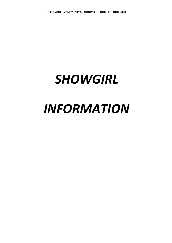# *SHOWGIRL*

## *INFORMATION*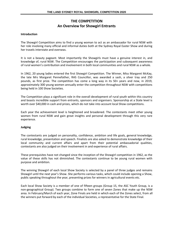## **THE COMPETITION An Overview for Showgirl Entrants**

#### **Introduction**

The Showgirl Competition aims to find a young woman to act as an ambassador for rural NSW with her role involving many official and informal duties both at the Sydney Royal Easter Show and during her travels interstate and overseas.

It is not a beauty pageant. Most importantly the Showgirls must have a genuine interest in, and knowledge of, rural NSW. The Competition encourages the participation and subsequent awareness of rural women's contribution and involvement in both local communities and rural NSW as a whole.

In 1962, 20 young ladies entered the first Showgirl Competition. The Winner, Miss Margaret McKay, the late Mrs Margaret Pennefather, RAS Councillor, was awarded a sash, a silver tray and 250 pounds, as first prize. The competition has come a long way in its 50+ years and now, in 2019, approximately 300 young women annually enter the competition throughout NSW with competitions being held in 100 Show Societies.

The Competition plays a significant role in the overall development of rural youth within this country and boasts incredible support from entrants, sponsors and organisers. Sponsorship at a State level is worth over \$40,000 in cash and prizes, which do not take into account local Show competitions.

Each year the achievement level is heightened and broadened. The contestants meet other young women from rural NSW and gain great insights and personal development through this very rare experience.

#### **Judging**

The contestants are judged on personality, confidence, ambition and life goals, general knowledge, rural knowledge, presentation and speech. Finalists are also asked to demonstrate knowledge of their local community and current affairs and apart from their potential ambassadorial qualities, contestants are also judged on their involvement in and experience of rural affairs.

These prerequisites have not changed since the inception of the Showgirl competition in 1962, as the value of these skills has not diminished. The contestants continue to be young rural women with purpose and ambition.

The winning Showgirl of each local Show Society is selected by a panel of three judges and remains Showgirl until the next year's Show. She performs various tasks, which could include opening a Show, public speaking throughout the year, presenting prizes for winners in agricultural events etc.

Each local Show Society is a member of one of fifteen groups (Group 15, the ASC Youth Group, is a non-geographical Group). Two groups combine to form one of seven Zones that make up the NSW area. In February/March of each year, Zone Finals are held in which each of the Zones select, from all the winners put forward by each of the individual Societies, a representative for the State Final.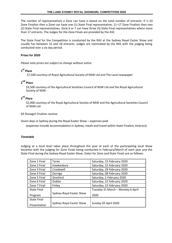The number of representatives a Zone can have is based on the total number of entrants: if 1–10 Zone Finalists then a Zone can have one (1) State Final representative; 11–17 Zone Finalists then two (2) State Final representatives. Zone 6 or 7 can have three (3) State Final representatives where more than 17 entrants. The Judges for the Zone Finals are provided by the ASC.

The State Final for the Competition is conducted by the RAS at the Sydney Royal Easter Show and usually has between 15 and 18 entrants. Judges are nominated by the RAS with the judging being conducted over a six day period.

#### **Prizes for 2020**

*Please note prizes are subject to change without notice*

## **1 st Place**

\$7,500 courtesy of Royal Agricultural Society of NSW Ltd and The Land newspaper

## **2 nd Place**

\$3,500 courtesy of the Agricultural Societies Council of NSW Ltd and the Royal Agricultural Society of NSW.

## **3 rd Place**

\$2,000 courtesy of the Royal Agricultural Society of NSW and the Agricultural Societies Council of NSW Ltd

All Showgirl Finalists receive:

Seven days in Sydney during the Royal Easter Show – expenses paid

(expenses include accommodation in Sydney, meals and travel within State Finalists itinerary)

### *Timetable*

Judging at a local level takes place throughout the year at each of the participating local Show Societies with the judging for Zone Finals being conducted in February/March of each year and the State Final during the Sydney Royal Easter Show. Dates for Zone and State Finals are as follows:

| Zone 1 Final       | Taree                    | Saturday, 15 February 2020        |
|--------------------|--------------------------|-----------------------------------|
| Zone 2 Final       | Hawkesbury               | Saturday, 22 February 2020        |
| Zone 3 Final       | Crookwell                | Saturday, 29 February 2020        |
| Zone 4 Final       | Dorrigo                  | Saturday, 08 February 2020        |
| Zone 5 Final       | Gresford                 | Saturday, 1 February 2020         |
| Zone 6 Final       | <b>Dubbo</b>             | Saturday, 22 February 2020        |
| Zone 7 Final       | Finley                   | Saturday, 15 February 2020        |
| <b>State Final</b> |                          | Tuesday 31 March - Monday 6 April |
| Program            | Sydney Royal Easter Show | 2020                              |
| <b>State Final</b> |                          |                                   |
| Presentation       | Sydney Royal Easter Show | Sunday 05 April 2020              |